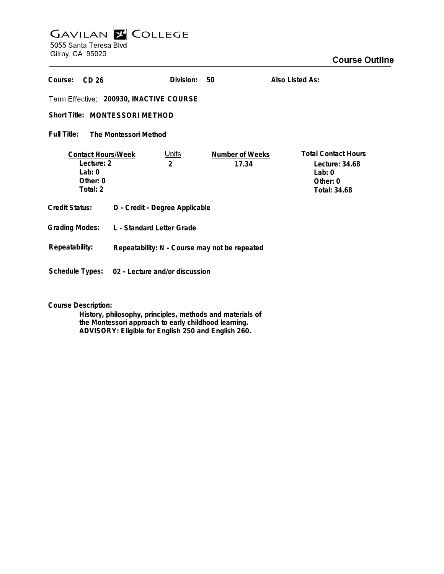## **GAVILAN E COLLEGE**<br>5055 Santa Teresa Blvd

Gilroy, CA 95020

| Course:<br>CD <sub>26</sub>                                                   |                                                | Division:                      | 50                              | Also Listed As:                                                                          |
|-------------------------------------------------------------------------------|------------------------------------------------|--------------------------------|---------------------------------|------------------------------------------------------------------------------------------|
| Term Effective: 200930, INACTIVE COURSE                                       |                                                |                                |                                 |                                                                                          |
| Short Title: MONTESSORI METHOD                                                |                                                |                                |                                 |                                                                                          |
| Full Title:<br>The Montessori Method                                          |                                                |                                |                                 |                                                                                          |
| <b>Contact Hours/Week</b><br>Lecture: 2<br>Lab: $0$<br>Other: $0$<br>Total: 2 |                                                | <u>Units</u><br>$\overline{2}$ | <b>Number of Weeks</b><br>17.34 | <b>Total Contact Hours</b><br>Lecture: $34.68$<br>Lab: $0$<br>Other: $0$<br>Total: 34.68 |
| <b>Credit Status:</b>                                                         | D - Credit - Degree Applicable                 |                                |                                 |                                                                                          |
| <b>Grading Modes:</b>                                                         | L - Standard Letter Grade                      |                                |                                 |                                                                                          |
| Repeatability:                                                                | Repeatability: N - Course may not be repeated  |                                |                                 |                                                                                          |
|                                                                               | Schedule Types: 02 - Lecture and/or discussion |                                |                                 |                                                                                          |

**Course Description:**

**History, philosophy, principles, methods and materials of the Montessori approach to early childhood learning. ADVISORY: Eligible for English 250 and English 260.**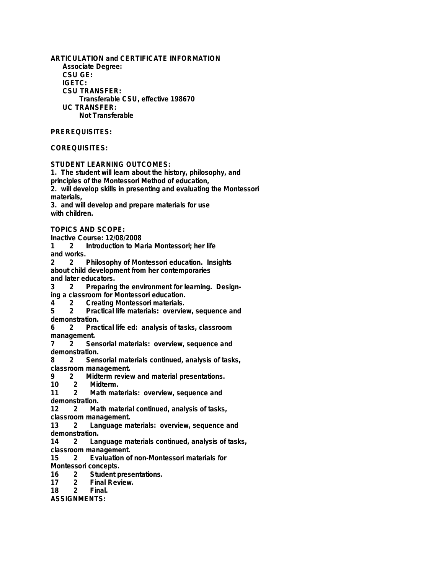**ARTICULATION and CERTIFICATE INFORMATION Associate Degree: CSU GE: IGETC: CSU TRANSFER: Transferable CSU, effective 198670 UC TRANSFER: Not Transferable**

## **PREREQUISITES:**

## **COREQUISITES:**

**STUDENT LEARNING OUTCOMES:**

**1. The student will learn about the history, philosophy, and principles of the Montessori Method of education, 2. will develop skills in presenting and evaluating the Montessori materials, 3. and will develop and prepare materials for use**

**with children.**

**TOPICS AND SCOPE:**

**Inactive Course: 12/08/2008**

**1 2 Introduction to Maria Montessori; her life and works.**

**2 2 Philosophy of Montessori education. Insights about child development from her contemporaries and later educators.**

**3 2 Preparing the environment for learning. Design-**

**ing a classroom for Montessori education. 4 2 Creating Montessori materials.**

**5 2 Practical life materials: overview, sequence and demonstration.**

**6 2 Practical life ed: analysis of tasks, classroom management.**

**7 2 Sensorial materials: overview, sequence and demonstration.**

**8 2 Sensorial materials continued, analysis of tasks, classroom management.**

**9 2 Midterm review and material presentations.**

**10 2 Midterm.**

**11 2 Math materials: overview, sequence and demonstration.**

**12 2 Math material continued, analysis of tasks,**

**classroom management.**

**13 2 Language materials: overview, sequence and demonstration.**

**14 2 Language materials continued, analysis of tasks,**

**classroom management.**<br>15 2 **Fyaluation of 15 2 Evaluation of non-Montessori materials for Montessori concepts.**

**16 2 Student presentations.**

**17 2 Final Review.**

**Final.** 

**ASSIGNMENTS:**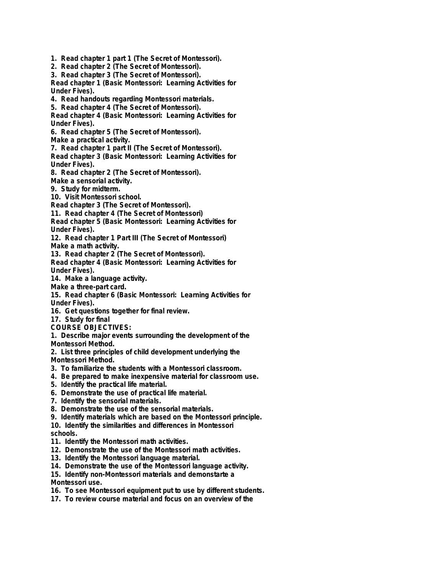**1. Read chapter 1 part 1 (The Secret of Montessori).**

- **2. Read chapter 2 (The Secret of Montessori).**
- **3. Read chapter 3 (The Secret of Montessori).**

**Read chapter 1 (Basic Montessori: Learning Activities for Under Fives).**

**4. Read handouts regarding Montessori materials.**

**5. Read chapter 4 (The Secret of Montessori).**

**Read chapter 4 (Basic Montessori: Learning Activities for Under Fives).**

**6. Read chapter 5 (The Secret of Montessori). Make a practical activity.**

**7. Read chapter 1 part II (The Secret of Montessori).**

**Read chapter 3 (Basic Montessori: Learning Activities for Under Fives).**

**8. Read chapter 2 (The Secret of Montessori).**

**Make a sensorial activity.**

**9. Study for midterm.**

**10. Visit Montessori school.**

**Read chapter 3 (The Secret of Montessori).**

**11. Read chapter 4 (The Secret of Montessori)**

**Read chapter 5 (Basic Montessori: Learning Activities for Under Fives).**

**12. Read chapter 1 Part III (The Secret of Montessori) Make a math activity.**

**13. Read chapter 2 (The Secret of Montessori).**

**Read chapter 4 (Basic Montessori: Learning Activities for Under Fives).**

**14. Make a language activity.**

**Make a three-part card.**

**15. Read chapter 6 (Basic Montessori: Learning Activities for Under Fives).**

**16. Get questions together for final review.**

**17. Study for final**

**COURSE OBJECTIVES:**

**1. Describe major events surrounding the development of the Montessori Method.**

- **2. List three principles of child development underlying the Montessori Method.**
- **3. To familiarize the students with a Montessori classroom.**
- **4. Be prepared to make inexpensive material for classroom use.**
- **5. Identify the practical life material.**
- **6. Demonstrate the use of practical life material.**
- **7. Identify the sensorial materials.**
- **8. Demonstrate the use of the sensorial materials.**
- **9. Identify materials which are based on the Montessori principle.**

**10. Identify the similarities and differences in Montessori schools.**

- **11. Identify the Montessori math activities.**
- **12. Demonstrate the use of the Montessori math activities.**
- **13. Identify the Montessori language material.**
- **14. Demonstrate the use of the Montessori language activity.**
- **15. Identify non-Montessori materials and demonstarte a**

**Montessori use.**

- **16. To see Montessori equipment put to use by different students.**
- **17. To review course material and focus on an overview of the**